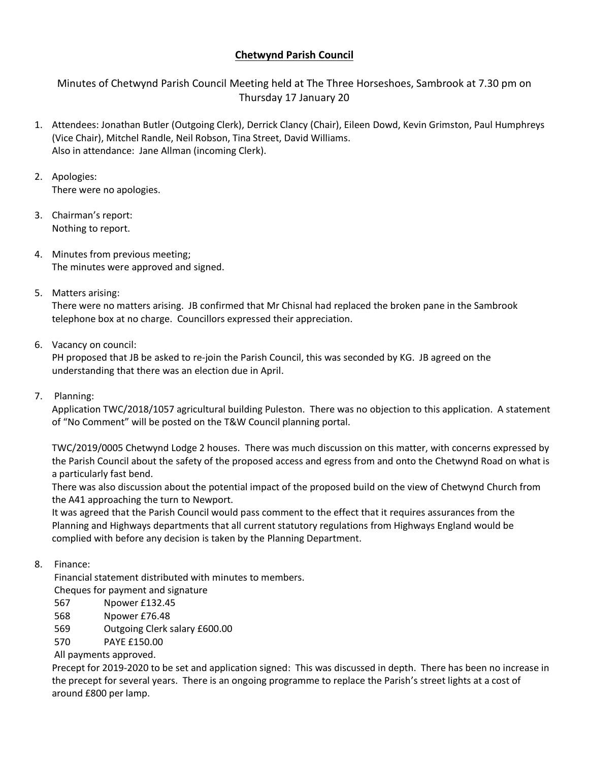## **Chetwynd Parish Council**

Minutes of Chetwynd Parish Council Meeting held at The Three Horseshoes, Sambrook at 7.30 pm on Thursday 17 January 20

- 1. Attendees: Jonathan Butler (Outgoing Clerk), Derrick Clancy (Chair), Eileen Dowd, Kevin Grimston, Paul Humphreys (Vice Chair), Mitchel Randle, Neil Robson, Tina Street, David Williams. Also in attendance: Jane Allman (incoming Clerk).
- 2. Apologies: There were no apologies.
- 3. Chairman's report: Nothing to report.
- 4. Minutes from previous meeting; The minutes were approved and signed.
- 5. Matters arising:

There were no matters arising. JB confirmed that Mr Chisnal had replaced the broken pane in the Sambrook telephone box at no charge. Councillors expressed their appreciation.

6. Vacancy on council:

PH proposed that JB be asked to re-join the Parish Council, this was seconded by KG. JB agreed on the understanding that there was an election due in April.

7. Planning:

Application TWC/2018/1057 agricultural building Puleston. There was no objection to this application. A statement of "No Comment" will be posted on the T&W Council planning portal.

TWC/2019/0005 Chetwynd Lodge 2 houses. There was much discussion on this matter, with concerns expressed by the Parish Council about the safety of the proposed access and egress from and onto the Chetwynd Road on what is a particularly fast bend.

There was also discussion about the potential impact of the proposed build on the view of Chetwynd Church from the A41 approaching the turn to Newport.

It was agreed that the Parish Council would pass comment to the effect that it requires assurances from the Planning and Highways departments that all current statutory regulations from Highways England would be complied with before any decision is taken by the Planning Department.

8. Finance:

Financial statement distributed with minutes to members.

Cheques for payment and signature

- 567 Npower £132.45
- 568 Npower £76.48
- 569 Outgoing Clerk salary £600.00

570 PAYE £150.00

All payments approved.

Precept for 2019-2020 to be set and application signed: This was discussed in depth. There has been no increase in the precept for several years. There is an ongoing programme to replace the Parish's street lights at a cost of around £800 per lamp.